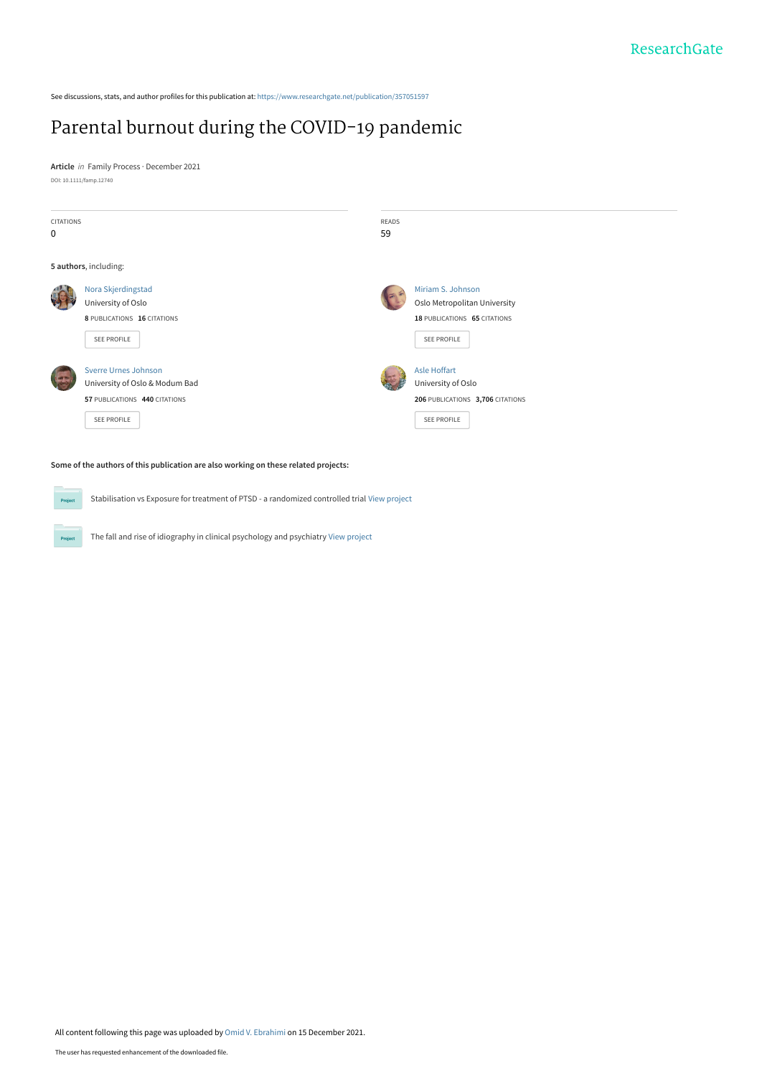See discussions, stats, and author profiles for this publication at: [https://www.researchgate.net/publication/357051597](https://www.researchgate.net/publication/357051597_Parental_burnout_during_the_COVID-19_pandemic?enrichId=rgreq-d182d67f43badb4b493eaee913b09b5e-XXX&enrichSource=Y292ZXJQYWdlOzM1NzA1MTU5NztBUzoxMTAxMjY4NTQyMDcwODEzQDE2Mzk1NzQyODk3Mjc%3D&el=1_x_2&_esc=publicationCoverPdf)

# [Parental burnout during the COVID‐19 pandemic](https://www.researchgate.net/publication/357051597_Parental_burnout_during_the_COVID-19_pandemic?enrichId=rgreq-d182d67f43badb4b493eaee913b09b5e-XXX&enrichSource=Y292ZXJQYWdlOzM1NzA1MTU5NztBUzoxMTAxMjY4NTQyMDcwODEzQDE2Mzk1NzQyODk3Mjc%3D&el=1_x_3&_esc=publicationCoverPdf)

**Article** in Family Process · December 2021 DOI: 10.1111/famp.12740

 $P_{\rm TC}$ 



#### **Some of the authors of this publication are also working on these related projects:**

Stabilisation vs Exposure for treatment of PTSD - a randomized controlled trial [View project](https://www.researchgate.net/project/Stabilisation-vs-Exposure-for-treatment-of-PTSD-a-randomized-controlled-trial?enrichId=rgreq-d182d67f43badb4b493eaee913b09b5e-XXX&enrichSource=Y292ZXJQYWdlOzM1NzA1MTU5NztBUzoxMTAxMjY4NTQyMDcwODEzQDE2Mzk1NzQyODk3Mjc%3D&el=1_x_9&_esc=publicationCoverPdf) Project

The fall and rise of idiography in clinical psychology and psychiatry [View project](https://www.researchgate.net/project/The-fall-and-rise-of-idiography-in-clinical-psychology-and-psychiatry?enrichId=rgreq-d182d67f43badb4b493eaee913b09b5e-XXX&enrichSource=Y292ZXJQYWdlOzM1NzA1MTU5NztBUzoxMTAxMjY4NTQyMDcwODEzQDE2Mzk1NzQyODk3Mjc%3D&el=1_x_9&_esc=publicationCoverPdf)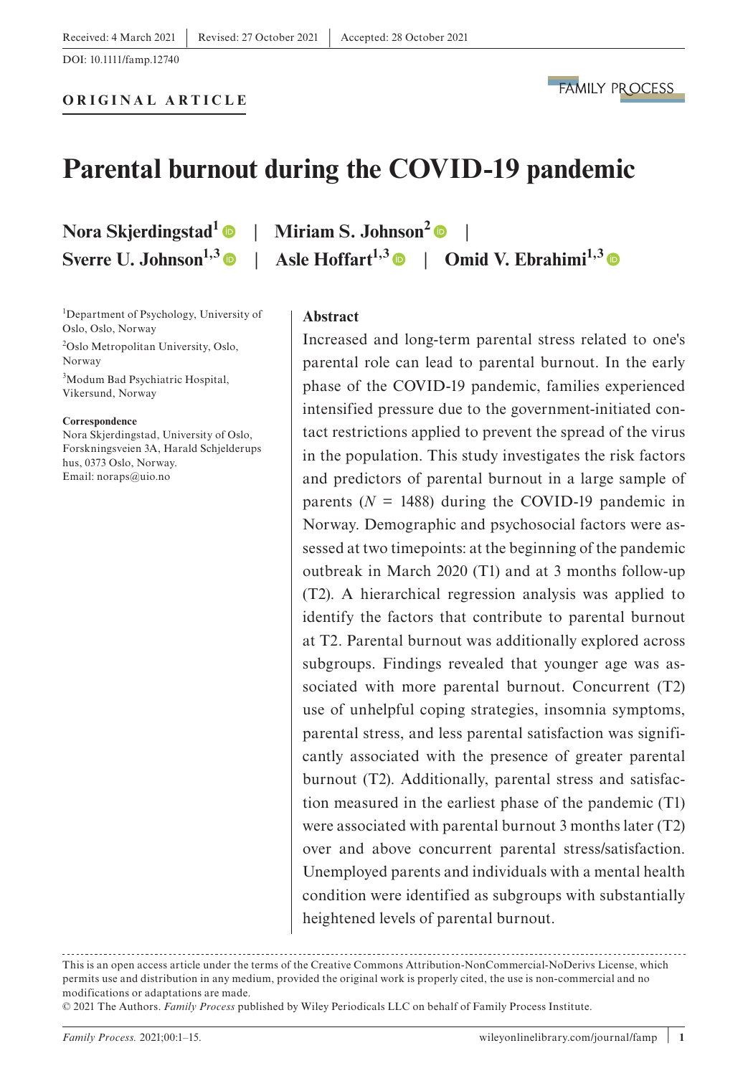# **Parental burnout during the COVID-19 pandemic**

**ORIGINAL ARTICLE**

**Nora Skjerdingstad[1](https://orcid.org/0000-0001-8900-059X)** | **Miriam S. Johnson[2](https://orcid.org/0000-0001-7486-2859)** | **Sverre U. Johnson**<sup>1,[3](https://orcid.org/0000-0002-8335-2217)</sup> | Asle Hoffart<sup>1,3</sup> | Omid V. Ebrahimi<sup>1,3</sup> |

#### 1 Department of Psychology, University of Oslo, Oslo, Norway

2 Oslo Metropolitan University, Oslo, Norway 3 Modum Bad Psychiatric Hospital, Vikersund, Norway

#### **Correspondence**

Nora Skjerdingstad, University of Oslo, Forskningsveien 3A, Harald Schjelderups hus, 0373 Oslo, Norway. Email: [noraps@uio.no](mailto:noraps@uio.no)

#### **Abstract**

Increased and long-term parental stress related to one's parental role can lead to parental burnout. In the early phase of the COVID-19 pandemic, families experienced intensified pressure due to the government-initiated contact restrictions applied to prevent the spread of the virus in the population. This study investigates the risk factors and predictors of parental burnout in a large sample of parents  $(N = 1488)$  during the COVID-19 pandemic in Norway. Demographic and psychosocial factors were assessed at two timepoints: at the beginning of the pandemic outbreak in March 2020 (T1) and at 3 months follow-up (T2). A hierarchical regression analysis was applied to identify the factors that contribute to parental burnout at T2. Parental burnout was additionally explored across subgroups. Findings revealed that younger age was associated with more parental burnout. Concurrent (T2) use of unhelpful coping strategies, insomnia symptoms, parental stress, and less parental satisfaction was significantly associated with the presence of greater parental burnout (T2). Additionally, parental stress and satisfaction measured in the earliest phase of the pandemic (T1) were associated with parental burnout 3 months later (T2) over and above concurrent parental stress/satisfaction. Unemployed parents and individuals with a mental health condition were identified as subgroups with substantially heightened levels of parental burnout.

This is an open access article under the terms of the [Creative Commons Attribution-NonCommercial-NoDerivs](http://creativecommons.org/licenses/by-nc-nd/4.0/) License, which permits use and distribution in any medium, provided the original work is properly cited, the use is non-commercial and no modifications or adaptations are made.

<sup>© 2021</sup> The Authors. *Family Process* published by Wiley Periodicals LLC on behalf of Family Process Institute.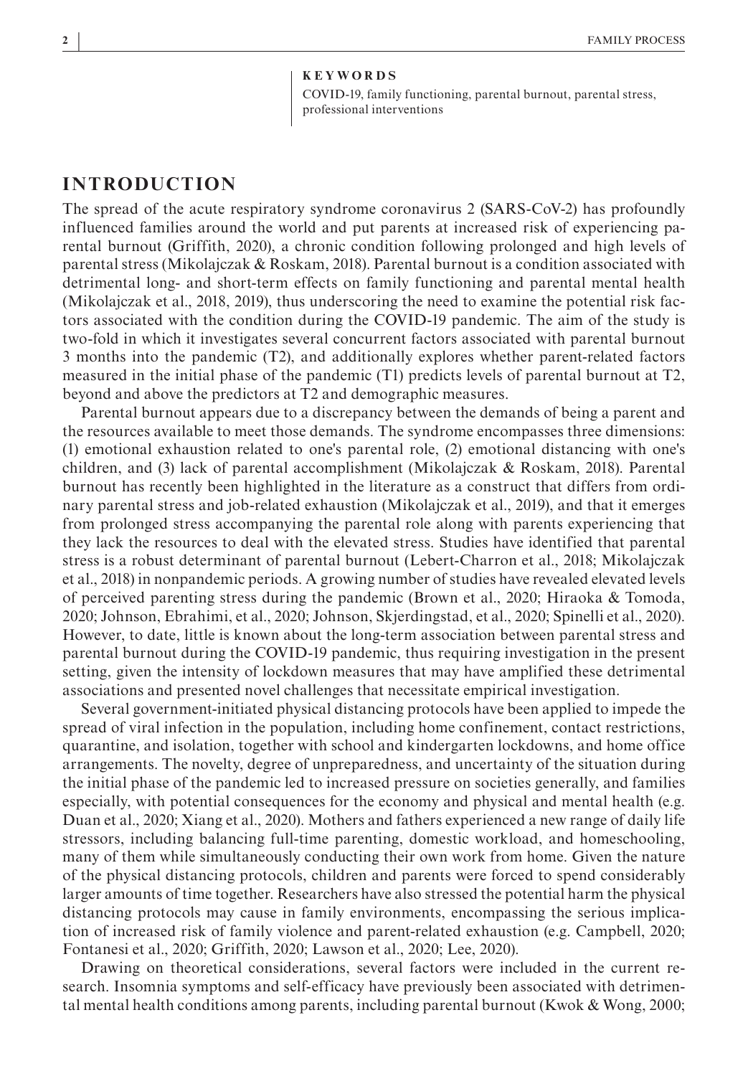#### **KEYWORDS**

COVID-19, family functioning, parental burnout, parental stress, professional interventions

### **INTRODUCTION**

The spread of the acute respiratory syndrome coronavirus 2 (SARS-CoV-2) has profoundly influenced families around the world and put parents at increased risk of experiencing parental burnout (Griffith, 2020), a chronic condition following prolonged and high levels of parental stress (Mikolajczak & Roskam, 2018). Parental burnout is a condition associated with detrimental long- and short-term effects on family functioning and parental mental health (Mikolajczak et al., 2018, 2019), thus underscoring the need to examine the potential risk factors associated with the condition during the COVID-19 pandemic. The aim of the study is two-fold in which it investigates several concurrent factors associated with parental burnout 3 months into the pandemic (T2), and additionally explores whether parent-related factors measured in the initial phase of the pandemic (T1) predicts levels of parental burnout at T2, beyond and above the predictors at T2 and demographic measures.

Parental burnout appears due to a discrepancy between the demands of being a parent and the resources available to meet those demands. The syndrome encompasses three dimensions: (1) emotional exhaustion related to one's parental role, (2) emotional distancing with one's children, and (3) lack of parental accomplishment (Mikolajczak & Roskam, 2018). Parental burnout has recently been highlighted in the literature as a construct that differs from ordinary parental stress and job-related exhaustion (Mikolajczak et al., 2019), and that it emerges from prolonged stress accompanying the parental role along with parents experiencing that they lack the resources to deal with the elevated stress. Studies have identified that parental stress is a robust determinant of parental burnout (Lebert-Charron et al., 2018; Mikolajczak et al., 2018) in nonpandemic periods. A growing number of studies have revealed elevated levels of perceived parenting stress during the pandemic (Brown et al., 2020; Hiraoka & Tomoda, 2020; Johnson, Ebrahimi, et al., 2020; Johnson, Skjerdingstad, et al., 2020; Spinelli et al., 2020). However, to date, little is known about the long-term association between parental stress and parental burnout during the COVID-19 pandemic, thus requiring investigation in the present setting, given the intensity of lockdown measures that may have amplified these detrimental associations and presented novel challenges that necessitate empirical investigation.

Several government-initiated physical distancing protocols have been applied to impede the spread of viral infection in the population, including home confinement, contact restrictions, quarantine, and isolation, together with school and kindergarten lockdowns, and home office arrangements. The novelty, degree of unpreparedness, and uncertainty of the situation during the initial phase of the pandemic led to increased pressure on societies generally, and families especially, with potential consequences for the economy and physical and mental health (e.g. Duan et al., 2020; Xiang et al., 2020). Mothers and fathers experienced a new range of daily life stressors, including balancing full-time parenting, domestic workload, and homeschooling, many of them while simultaneously conducting their own work from home. Given the nature of the physical distancing protocols, children and parents were forced to spend considerably larger amounts of time together. Researchers have also stressed the potential harm the physical distancing protocols may cause in family environments, encompassing the serious implication of increased risk of family violence and parent-related exhaustion (e.g. Campbell, 2020; Fontanesi et al., 2020; Griffith, 2020; Lawson et al., 2020; Lee, 2020).

Drawing on theoretical considerations, several factors were included in the current research. Insomnia symptoms and self-efficacy have previously been associated with detrimental mental health conditions among parents, including parental burnout (Kwok & Wong, 2000;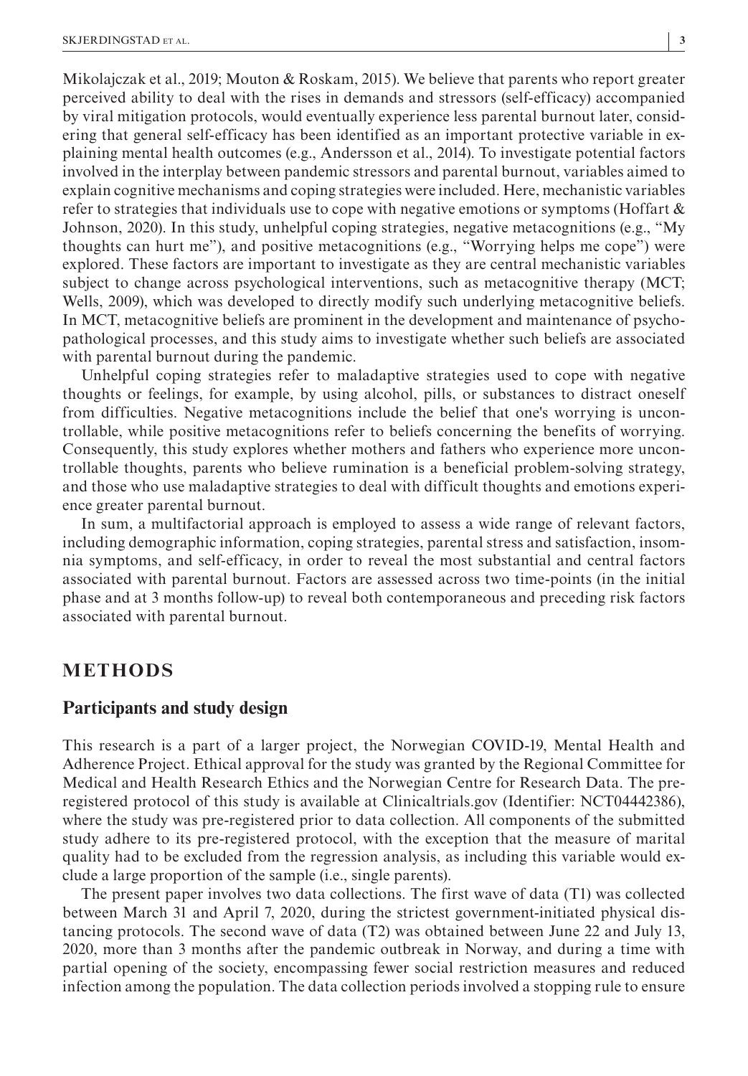Mikolajczak et al., 2019; Mouton & Roskam, 2015). We believe that parents who report greater perceived ability to deal with the rises in demands and stressors (self-efficacy) accompanied by viral mitigation protocols, would eventually experience less parental burnout later, considering that general self-efficacy has been identified as an important protective variable in explaining mental health outcomes (e.g., Andersson et al., 2014). To investigate potential factors involved in the interplay between pandemic stressors and parental burnout, variables aimed to explain cognitive mechanisms and coping strategies were included. Here, mechanistic variables refer to strategies that individuals use to cope with negative emotions or symptoms (Hoffart  $\&$ Johnson, 2020). In this study, unhelpful coping strategies, negative metacognitions (e.g., "My thoughts can hurt me"), and positive metacognitions (e.g., "Worrying helps me cope") were explored. These factors are important to investigate as they are central mechanistic variables subject to change across psychological interventions, such as metacognitive therapy (MCT; Wells, 2009), which was developed to directly modify such underlying metacognitive beliefs. In MCT, metacognitive beliefs are prominent in the development and maintenance of psychopathological processes, and this study aims to investigate whether such beliefs are associated with parental burnout during the pandemic.

Unhelpful coping strategies refer to maladaptive strategies used to cope with negative thoughts or feelings, for example, by using alcohol, pills, or substances to distract oneself from difficulties. Negative metacognitions include the belief that one's worrying is uncontrollable, while positive metacognitions refer to beliefs concerning the benefits of worrying. Consequently, this study explores whether mothers and fathers who experience more uncontrollable thoughts, parents who believe rumination is a beneficial problem-solving strategy, and those who use maladaptive strategies to deal with difficult thoughts and emotions experience greater parental burnout.

In sum, a multifactorial approach is employed to assess a wide range of relevant factors, including demographic information, coping strategies, parental stress and satisfaction, insomnia symptoms, and self-efficacy, in order to reveal the most substantial and central factors associated with parental burnout. Factors are assessed across two time-points (in the initial phase and at 3 months follow-up) to reveal both contemporaneous and preceding risk factors associated with parental burnout.

## **METHODS**

#### **Participants and study design**

This research is a part of a larger project, the Norwegian COVID-19, Mental Health and Adherence Project. Ethical approval for the study was granted by the Regional Committee for Medical and Health Research Ethics and the Norwegian Centre for Research Data. The preregistered protocol of this study is available at Clinicaltrials.gov (Identifier: NCT04442386), where the study was pre-registered prior to data collection. All components of the submitted study adhere to its pre-registered protocol, with the exception that the measure of marital quality had to be excluded from the regression analysis, as including this variable would exclude a large proportion of the sample (i.e., single parents).

The present paper involves two data collections. The first wave of data (T1) was collected between March 31 and April 7, 2020, during the strictest government-initiated physical distancing protocols. The second wave of data (T2) was obtained between June 22 and July 13, 2020, more than 3 months after the pandemic outbreak in Norway, and during a time with partial opening of the society, encompassing fewer social restriction measures and reduced infection among the population. The data collection periods involved a stopping rule to ensure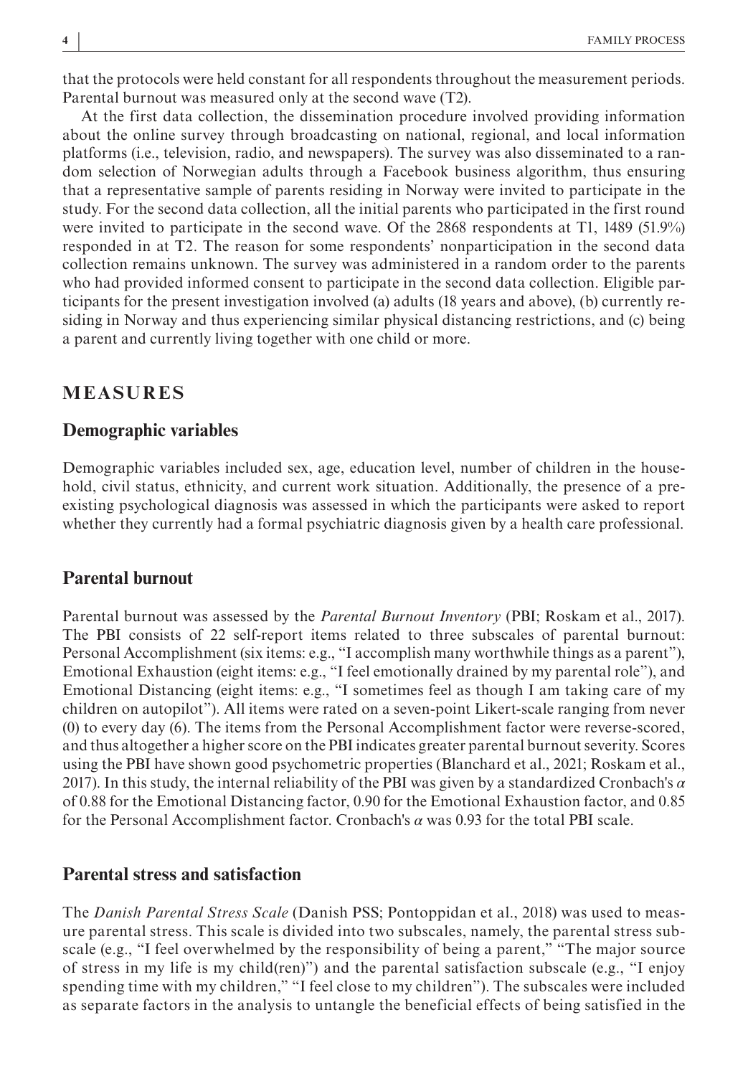that the protocols were held constant for all respondents throughout the measurement periods. Parental burnout was measured only at the second wave (T2).

At the first data collection, the dissemination procedure involved providing information about the online survey through broadcasting on national, regional, and local information platforms (i.e., television, radio, and newspapers). The survey was also disseminated to a random selection of Norwegian adults through a Facebook business algorithm, thus ensuring that a representative sample of parents residing in Norway were invited to participate in the study. For the second data collection, all the initial parents who participated in the first round were invited to participate in the second wave. Of the 2868 respondents at T1, 1489 (51.9%) responded in at T2. The reason for some respondents' nonparticipation in the second data collection remains unknown. The survey was administered in a random order to the parents who had provided informed consent to participate in the second data collection. Eligible participants for the present investigation involved (a) adults (18 years and above), (b) currently residing in Norway and thus experiencing similar physical distancing restrictions, and (c) being a parent and currently living together with one child or more.

#### **MEASURES**

#### **Demographic variables**

Demographic variables included sex, age, education level, number of children in the household, civil status, ethnicity, and current work situation. Additionally, the presence of a preexisting psychological diagnosis was assessed in which the participants were asked to report whether they currently had a formal psychiatric diagnosis given by a health care professional.

#### **Parental burnout**

Parental burnout was assessed by the *Parental Burnout Inventory* (PBI; Roskam et al., 2017). The PBI consists of 22 self-report items related to three subscales of parental burnout: Personal Accomplishment (six items: e.g., "I accomplish many worthwhile things as a parent"), Emotional Exhaustion (eight items: e.g., "I feel emotionally drained by my parental role"), and Emotional Distancing (eight items: e.g., "I sometimes feel as though I am taking care of my children on autopilot"). All items were rated on a seven-point Likert-scale ranging from never (0) to every day (6). The items from the Personal Accomplishment factor were reverse-scored, and thus altogether a higher score on the PBI indicates greater parental burnout severity. Scores using the PBI have shown good psychometric properties (Blanchard et al., 2021; Roskam et al., 2017). In this study, the internal reliability of the PBI was given by a standardized Cronbach's *α* of 0.88 for the Emotional Distancing factor, 0.90 for the Emotional Exhaustion factor, and 0.85 for the Personal Accomplishment factor. Cronbach's *α* was 0.93 for the total PBI scale.

#### **Parental stress and satisfaction**

The *Danish Parental Stress Scale* (Danish PSS; Pontoppidan et al., 2018) was used to measure parental stress. This scale is divided into two subscales, namely, the parental stress subscale (e.g., "I feel overwhelmed by the responsibility of being a parent," "The major source of stress in my life is my child(ren)") and the parental satisfaction subscale (e.g., "I enjoy spending time with my children," "I feel close to my children"). The subscales were included as separate factors in the analysis to untangle the beneficial effects of being satisfied in the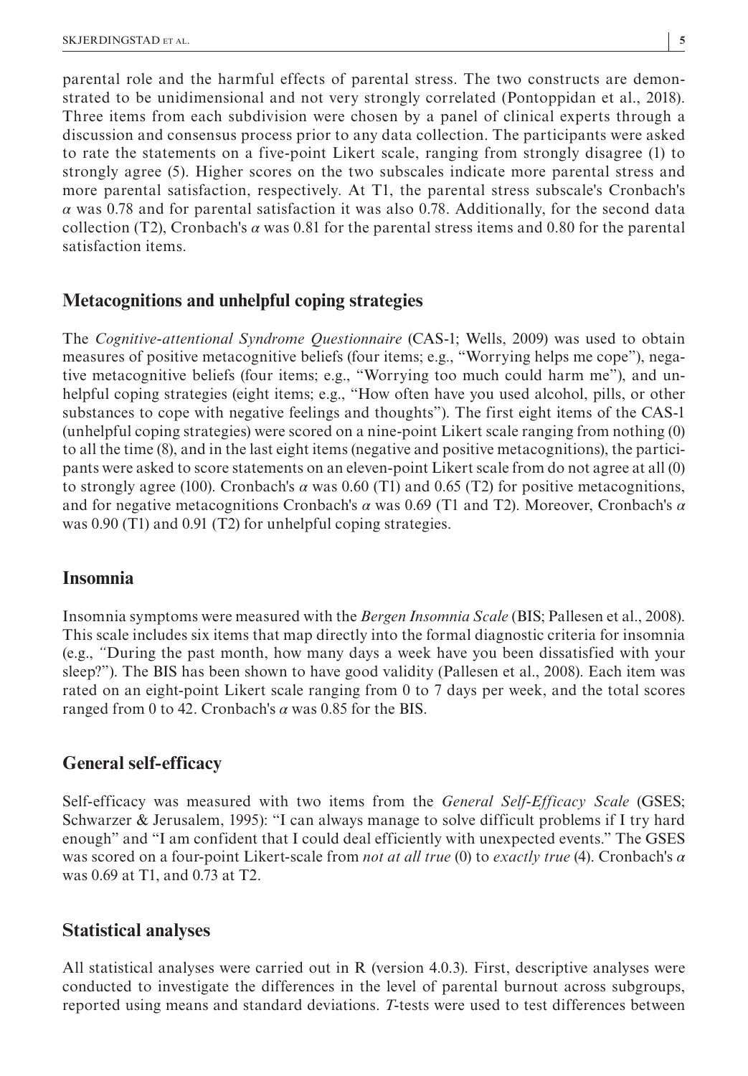parental role and the harmful effects of parental stress. The two constructs are demonstrated to be unidimensional and not very strongly correlated (Pontoppidan et al., 2018). Three items from each subdivision were chosen by a panel of clinical experts through a discussion and consensus process prior to any data collection. The participants were asked to rate the statements on a five-point Likert scale, ranging from strongly disagree (1) to strongly agree (5). Higher scores on the two subscales indicate more parental stress and more parental satisfaction, respectively. At T1, the parental stress subscale's Cronbach's *α* was 0.78 and for parental satisfaction it was also 0.78. Additionally, for the second data collection (T2), Cronbach's  $\alpha$  was 0.81 for the parental stress items and 0.80 for the parental satisfaction items.

### **Metacognitions and unhelpful coping strategies**

The *Cognitive*-*attentional Syndrome Questionnaire* (CAS-1; Wells, 2009) was used to obtain measures of positive metacognitive beliefs (four items; e.g., "Worrying helps me cope"), negative metacognitive beliefs (four items; e.g., "Worrying too much could harm me"), and unhelpful coping strategies (eight items; e.g., "How often have you used alcohol, pills, or other substances to cope with negative feelings and thoughts"). The first eight items of the CAS-1 (unhelpful coping strategies) were scored on a nine-point Likert scale ranging from nothing (0) to all the time (8), and in the last eight items (negative and positive metacognitions), the participants were asked to score statements on an eleven-point Likert scale from do not agree at all (0) to strongly agree (100). Cronbach's  $\alpha$  was 0.60 (T1) and 0.65 (T2) for positive metacognitions, and for negative metacognitions Cronbach's *α* was 0.69 (T1 and T2). Moreover, Cronbach's *α* was 0.90 (T1) and 0.91 (T2) for unhelpful coping strategies.

## **Insomnia**

Insomnia symptoms were measured with the *Bergen Insomnia Scale* (BIS; Pallesen et al., 2008). This scale includes six items that map directly into the formal diagnostic criteria for insomnia (e.g., *"*During the past month, how many days a week have you been dissatisfied with your sleep?"). The BIS has been shown to have good validity (Pallesen et al., 2008). Each item was rated on an eight-point Likert scale ranging from 0 to 7 days per week, and the total scores ranged from 0 to 42. Cronbach's *α* was 0.85 for the BIS.

## **General self-efficacy**

Self-efficacy was measured with two items from the *General Self*-*Efficacy Scale* (GSES; Schwarzer & Jerusalem, 1995): "I can always manage to solve difficult problems if I try hard enough" and "I am confident that I could deal efficiently with unexpected events." The GSES was scored on a four-point Likert-scale from *not at all true* (0) to *exactly true* (4). Cronbach's *α* was 0.69 at T1, and 0.73 at T2.

#### **Statistical analyses**

All statistical analyses were carried out in R (version 4.0.3). First, descriptive analyses were conducted to investigate the differences in the level of parental burnout across subgroups, reported using means and standard deviations. *T*-tests were used to test differences between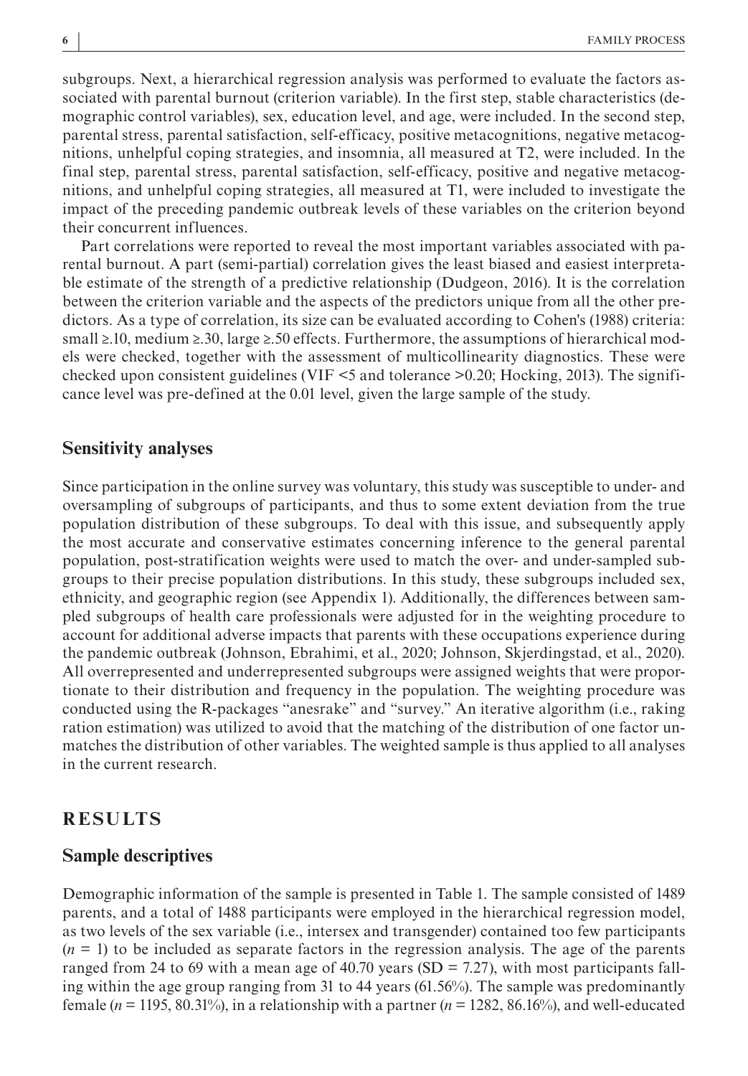subgroups. Next, a hierarchical regression analysis was performed to evaluate the factors associated with parental burnout (criterion variable). In the first step, stable characteristics (demographic control variables), sex, education level, and age, were included. In the second step, parental stress, parental satisfaction, self-efficacy, positive metacognitions, negative metacognitions, unhelpful coping strategies, and insomnia, all measured at T2, were included. In the final step, parental stress, parental satisfaction, self-efficacy, positive and negative metacognitions, and unhelpful coping strategies, all measured at T1, were included to investigate the impact of the preceding pandemic outbreak levels of these variables on the criterion beyond their concurrent influences.

Part correlations were reported to reveal the most important variables associated with parental burnout. A part (semi-partial) correlation gives the least biased and easiest interpretable estimate of the strength of a predictive relationship (Dudgeon, 2016). It is the correlation between the criterion variable and the aspects of the predictors unique from all the other predictors. As a type of correlation, its size can be evaluated according to Cohen's (1988) criteria: small ≥.10, medium ≥.30, large ≥.50 effects. Furthermore, the assumptions of hierarchical models were checked, together with the assessment of multicollinearity diagnostics. These were checked upon consistent guidelines (VIF <5 and tolerance >0.20; Hocking, 2013). The significance level was pre-defined at the 0.01 level, given the large sample of the study.

### **Sensitivity analyses**

Since participation in the online survey was voluntary, this study was susceptible to under- and oversampling of subgroups of participants, and thus to some extent deviation from the true population distribution of these subgroups. To deal with this issue, and subsequently apply the most accurate and conservative estimates concerning inference to the general parental population, post-stratification weights were used to match the over- and under-sampled subgroups to their precise population distributions. In this study, these subgroups included sex, ethnicity, and geographic region (see Appendix 1). Additionally, the differences between sampled subgroups of health care professionals were adjusted for in the weighting procedure to account for additional adverse impacts that parents with these occupations experience during the pandemic outbreak (Johnson, Ebrahimi, et al., 2020; Johnson, Skjerdingstad, et al., 2020). All overrepresented and underrepresented subgroups were assigned weights that were proportionate to their distribution and frequency in the population. The weighting procedure was conducted using the R-packages "anesrake" and "survey." An iterative algorithm (i.e., raking ration estimation) was utilized to avoid that the matching of the distribution of one factor unmatches the distribution of other variables. The weighted sample is thus applied to all analyses in the current research.

#### **RESULTS**

### **Sample descriptives**

Demographic information of the sample is presented in Table 1. The sample consisted of 1489 parents, and a total of 1488 participants were employed in the hierarchical regression model, as two levels of the sex variable (i.e., intersex and transgender) contained too few participants  $(n = 1)$  to be included as separate factors in the regression analysis. The age of the parents ranged from 24 to 69 with a mean age of 40.70 years (SD = 7.27), with most participants falling within the age group ranging from 31 to 44 years (61.56%). The sample was predominantly female ( $n = 1195, 80.31\%$ ), in a relationship with a partner ( $n = 1282, 86.16\%$ ), and well-educated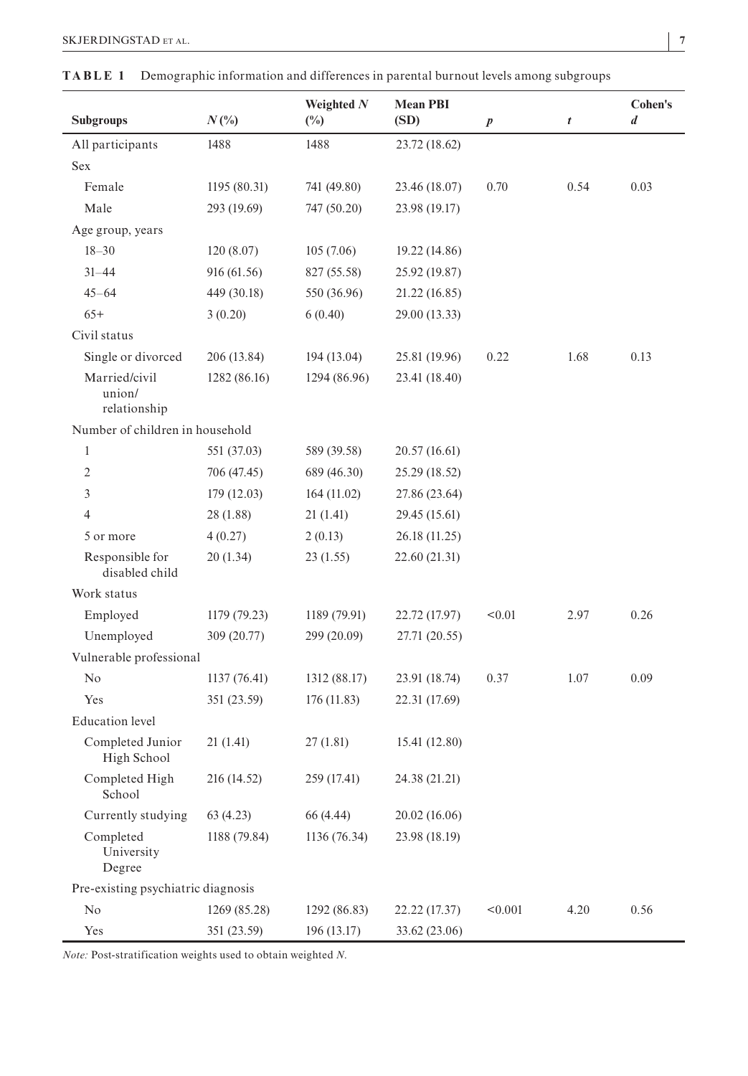| SKJERDINGSTAD et al. |  |
|----------------------|--|
|                      |  |

| <b>Subgroups</b>                        | $N(\%)$      | Weighted $N$<br>$(\%)$ | <b>Mean PBI</b><br>(SD) | $\boldsymbol{p}$ | t    | <b>Cohen's</b><br>$\boldsymbol{d}$ |
|-----------------------------------------|--------------|------------------------|-------------------------|------------------|------|------------------------------------|
| All participants                        | 1488         | 1488                   | 23.72 (18.62)           |                  |      |                                    |
| Sex                                     |              |                        |                         |                  |      |                                    |
| Female                                  | 1195 (80.31) | 741 (49.80)            | 23.46 (18.07)           | 0.70             | 0.54 | 0.03                               |
| Male                                    | 293 (19.69)  | 747 (50.20)            | 23.98 (19.17)           |                  |      |                                    |
| Age group, years                        |              |                        |                         |                  |      |                                    |
| $18 - 30$                               | 120(8.07)    | 105(7.06)              | 19.22 (14.86)           |                  |      |                                    |
| $31 - 44$                               | 916 (61.56)  | 827 (55.58)            | 25.92 (19.87)           |                  |      |                                    |
| $45 - 64$                               | 449 (30.18)  | 550 (36.96)            | 21.22 (16.85)           |                  |      |                                    |
| $65+$                                   | 3(0.20)      | 6(0.40)                | 29.00 (13.33)           |                  |      |                                    |
| Civil status                            |              |                        |                         |                  |      |                                    |
| Single or divorced                      | 206 (13.84)  | 194 (13.04)            | 25.81 (19.96)           | 0.22             | 1.68 | 0.13                               |
| Married/civil<br>union/<br>relationship | 1282 (86.16) | 1294 (86.96)           | 23.41 (18.40)           |                  |      |                                    |
| Number of children in household         |              |                        |                         |                  |      |                                    |
| $\mathbf{1}$                            | 551 (37.03)  | 589 (39.58)            | 20.57 (16.61)           |                  |      |                                    |
| $\overline{2}$                          | 706 (47.45)  | 689 (46.30)            | 25.29 (18.52)           |                  |      |                                    |
| 3                                       | 179(12.03)   | 164 (11.02)            | 27.86 (23.64)           |                  |      |                                    |
| $\overline{4}$                          | 28 (1.88)    | 21(1.41)               | 29.45 (15.61)           |                  |      |                                    |
| 5 or more                               | 4(0.27)      | 2(0.13)                | 26.18 (11.25)           |                  |      |                                    |
| Responsible for<br>disabled child       | 20(1.34)     | 23(1.55)               | 22.60 (21.31)           |                  |      |                                    |
| Work status                             |              |                        |                         |                  |      |                                    |
| Employed                                | 1179 (79.23) | 1189 (79.91)           | 22.72 (17.97)           | < 0.01           | 2.97 | 0.26                               |
| Unemployed                              | 309 (20.77)  | 299 (20.09)            | 27.71 (20.55)           |                  |      |                                    |
| Vulnerable professional                 |              |                        |                         |                  |      |                                    |
| No                                      | 1137(76.41)  | 1312 (88.17)           | 23.91 (18.74)           | 0.37             | 1.07 | 0.09                               |
| Yes                                     | 351 (23.59)  | 176 (11.83)            | 22.31 (17.69)           |                  |      |                                    |
| <b>Education</b> level                  |              |                        |                         |                  |      |                                    |
| Completed Junior<br>High School         | 21(1.41)     | 27 (1.81)              | 15.41 (12.80)           |                  |      |                                    |
| Completed High<br>School                | 216 (14.52)  | 259 (17.41)            | 24.38 (21.21)           |                  |      |                                    |
| Currently studying                      | 63(4.23)     | 66 (4.44)              | 20.02 (16.06)           |                  |      |                                    |
| Completed<br>University<br>Degree       | 1188 (79.84) | 1136 (76.34)           | 23.98 (18.19)           |                  |      |                                    |
| Pre-existing psychiatric diagnosis      |              |                        |                         |                  |      |                                    |
| No                                      | 1269 (85.28) | 1292 (86.83)           | 22.22 (17.37)           | < 0.001          | 4.20 | 0.56                               |
| Yes                                     | 351 (23.59)  | 196(13.17)             | 33.62 (23.06)           |                  |      |                                    |

|  |  | <b>TABLE 1</b> Demographic information and differences in parental burnout levels among subgroups |  |
|--|--|---------------------------------------------------------------------------------------------------|--|
|--|--|---------------------------------------------------------------------------------------------------|--|

*Note:* Post-stratification weights used to obtain weighted *N*.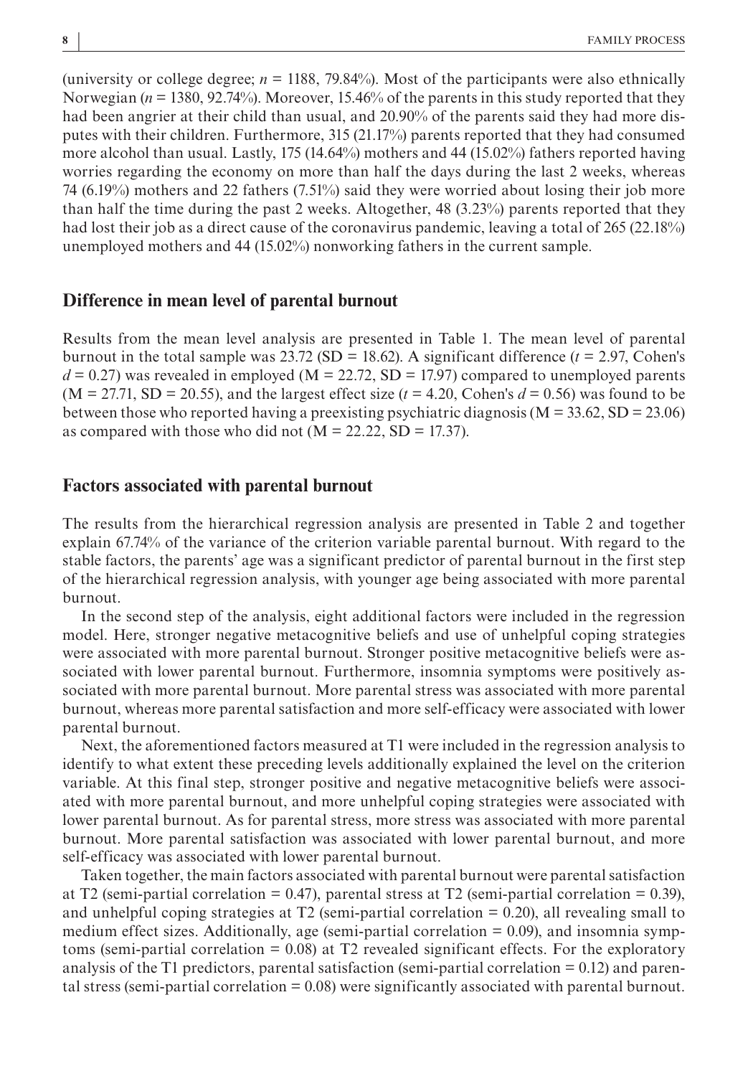(university or college degree; *n* = 1188, 79.84%). Most of the participants were also ethnically Norwegian (*n* = 1380, 92.74%). Moreover, 15.46% of the parents in this study reported that they had been angrier at their child than usual, and 20.90% of the parents said they had more disputes with their children. Furthermore, 315 (21.17%) parents reported that they had consumed more alcohol than usual. Lastly, 175 (14.64%) mothers and 44 (15.02%) fathers reported having worries regarding the economy on more than half the days during the last 2 weeks, whereas 74 (6.19%) mothers and 22 fathers (7.51%) said they were worried about losing their job more than half the time during the past 2 weeks. Altogether, 48 (3.23%) parents reported that they had lost their job as a direct cause of the coronavirus pandemic, leaving a total of 265 (22.18%) unemployed mothers and 44 (15.02%) nonworking fathers in the current sample.

### **Difference in mean level of parental burnout**

Results from the mean level analysis are presented in Table 1. The mean level of parental burnout in the total sample was  $23.72$  (SD = 18.62). A significant difference ( $t = 2.97$ , Cohen's  $d = 0.27$ ) was revealed in employed (M = 22.72, SD = 17.97) compared to unemployed parents  $(M = 27.71, SD = 20.55)$ , and the largest effect size  $(t = 4.20, Cohen's d = 0.56)$  was found to be between those who reported having a preexisting psychiatric diagnosis ( $M = 33.62$ , SD = 23.06) as compared with those who did not  $(M = 22.22, SD = 17.37)$ .

## **Factors associated with parental burnout**

The results from the hierarchical regression analysis are presented in Table 2 and together explain 67.74% of the variance of the criterion variable parental burnout. With regard to the stable factors, the parents' age was a significant predictor of parental burnout in the first step of the hierarchical regression analysis, with younger age being associated with more parental burnout.

In the second step of the analysis, eight additional factors were included in the regression model. Here, stronger negative metacognitive beliefs and use of unhelpful coping strategies were associated with more parental burnout. Stronger positive metacognitive beliefs were associated with lower parental burnout. Furthermore, insomnia symptoms were positively associated with more parental burnout. More parental stress was associated with more parental burnout, whereas more parental satisfaction and more self-efficacy were associated with lower parental burnout.

Next, the aforementioned factors measured at T1 were included in the regression analysis to identify to what extent these preceding levels additionally explained the level on the criterion variable. At this final step, stronger positive and negative metacognitive beliefs were associated with more parental burnout, and more unhelpful coping strategies were associated with lower parental burnout. As for parental stress, more stress was associated with more parental burnout. More parental satisfaction was associated with lower parental burnout, and more self-efficacy was associated with lower parental burnout.

Taken together, the main factors associated with parental burnout were parental satisfaction at T2 (semi-partial correlation = 0.47), parental stress at T2 (semi-partial correlation = 0.39), and unhelpful coping strategies at T2 (semi-partial correlation  $= 0.20$ ), all revealing small to medium effect sizes. Additionally, age (semi-partial correlation = 0.09), and insomnia symptoms (semi-partial correlation  $= 0.08$ ) at T2 revealed significant effects. For the exploratory analysis of the T1 predictors, parental satisfaction (semi-partial correlation  $= 0.12$ ) and parental stress (semi-partial correlation = 0.08) were significantly associated with parental burnout.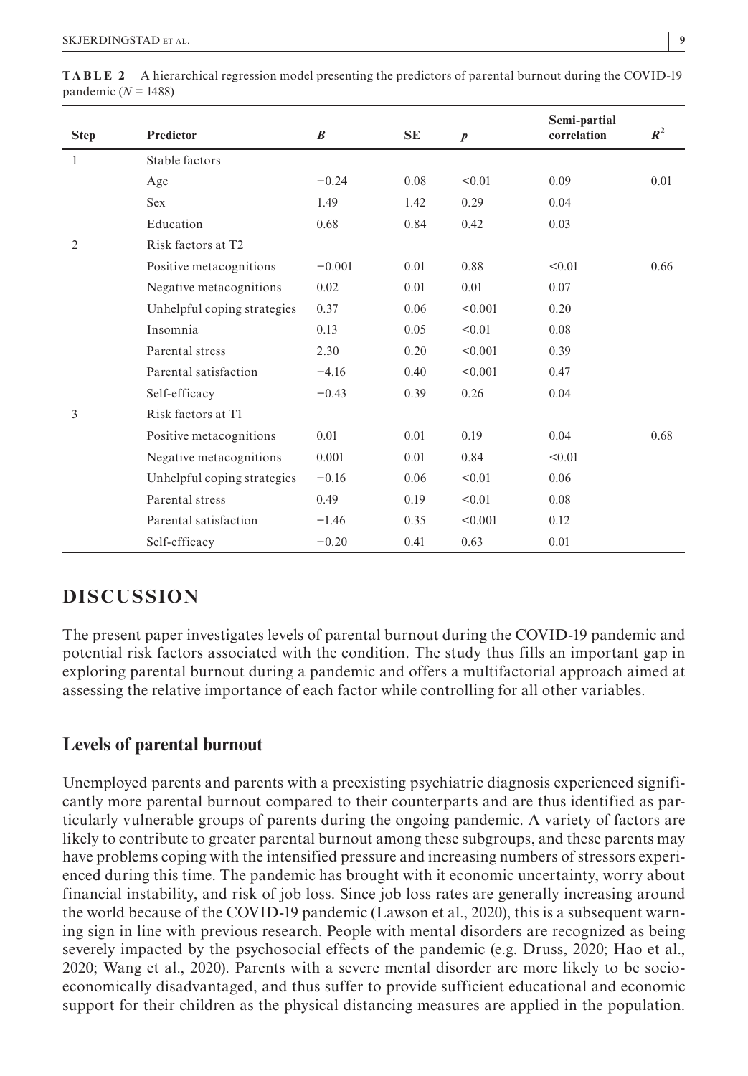| <b>Step</b>    | Predictor                   | $\boldsymbol{B}$ | <b>SE</b> | $\boldsymbol{p}$ | Semi-partial<br>correlation | $R^2$ |
|----------------|-----------------------------|------------------|-----------|------------------|-----------------------------|-------|
| 1              | Stable factors              |                  |           |                  |                             |       |
|                | Age                         | $-0.24$          | 0.08      | < 0.01           | 0.09                        | 0.01  |
|                | <b>Sex</b>                  | 1.49             | 1.42      | 0.29             | 0.04                        |       |
|                | Education                   | 0.68             | 0.84      | 0.42             | 0.03                        |       |
| $\overline{2}$ | Risk factors at T2          |                  |           |                  |                             |       |
|                | Positive metacognitions     | $-0.001$         | 0.01      | 0.88             | < 0.01                      | 0.66  |
|                | Negative metacognitions     | 0.02             | 0.01      | 0.01             | 0.07                        |       |
|                | Unhelpful coping strategies | 0.37             | 0.06      | < 0.001          | 0.20                        |       |
|                | Insomnia                    | 0.13             | 0.05      | < 0.01           | 0.08                        |       |
|                | Parental stress             | 2.30             | 0.20      | < 0.001          | 0.39                        |       |
|                | Parental satisfaction       | $-4.16$          | 0.40      | < 0.001          | 0.47                        |       |
|                | Self-efficacy               | $-0.43$          | 0.39      | 0.26             | 0.04                        |       |
| 3              | Risk factors at T1          |                  |           |                  |                             |       |
|                | Positive metacognitions     | 0.01             | 0.01      | 0.19             | 0.04                        | 0.68  |
|                | Negative metacognitions     | 0.001            | 0.01      | 0.84             | < 0.01                      |       |
|                | Unhelpful coping strategies | $-0.16$          | 0.06      | < 0.01           | 0.06                        |       |
|                | Parental stress             | 0.49             | 0.19      | < 0.01           | 0.08                        |       |
|                | Parental satisfaction       | $-1.46$          | 0.35      | < 0.001          | 0.12                        |       |
|                | Self-efficacy               | $-0.20$          | 0.41      | 0.63             | 0.01                        |       |

**TABLE 2** A hierarchical regression model presenting the predictors of parental burnout during the COVID-19 pandemic  $(N = 1488)$ 

# **DISCUSSION**

The present paper investigates levels of parental burnout during the COVID-19 pandemic and potential risk factors associated with the condition. The study thus fills an important gap in exploring parental burnout during a pandemic and offers a multifactorial approach aimed at assessing the relative importance of each factor while controlling for all other variables.

# **Levels of parental burnout**

Unemployed parents and parents with a preexisting psychiatric diagnosis experienced significantly more parental burnout compared to their counterparts and are thus identified as particularly vulnerable groups of parents during the ongoing pandemic. A variety of factors are likely to contribute to greater parental burnout among these subgroups, and these parents may have problems coping with the intensified pressure and increasing numbers of stressors experienced during this time. The pandemic has brought with it economic uncertainty, worry about financial instability, and risk of job loss. Since job loss rates are generally increasing around the world because of the COVID-19 pandemic (Lawson et al., 2020), this is a subsequent warning sign in line with previous research. People with mental disorders are recognized as being severely impacted by the psychosocial effects of the pandemic (e.g. Druss, 2020; Hao et al., 2020; Wang et al., 2020). Parents with a severe mental disorder are more likely to be socioeconomically disadvantaged, and thus suffer to provide sufficient educational and economic support for their children as the physical distancing measures are applied in the population.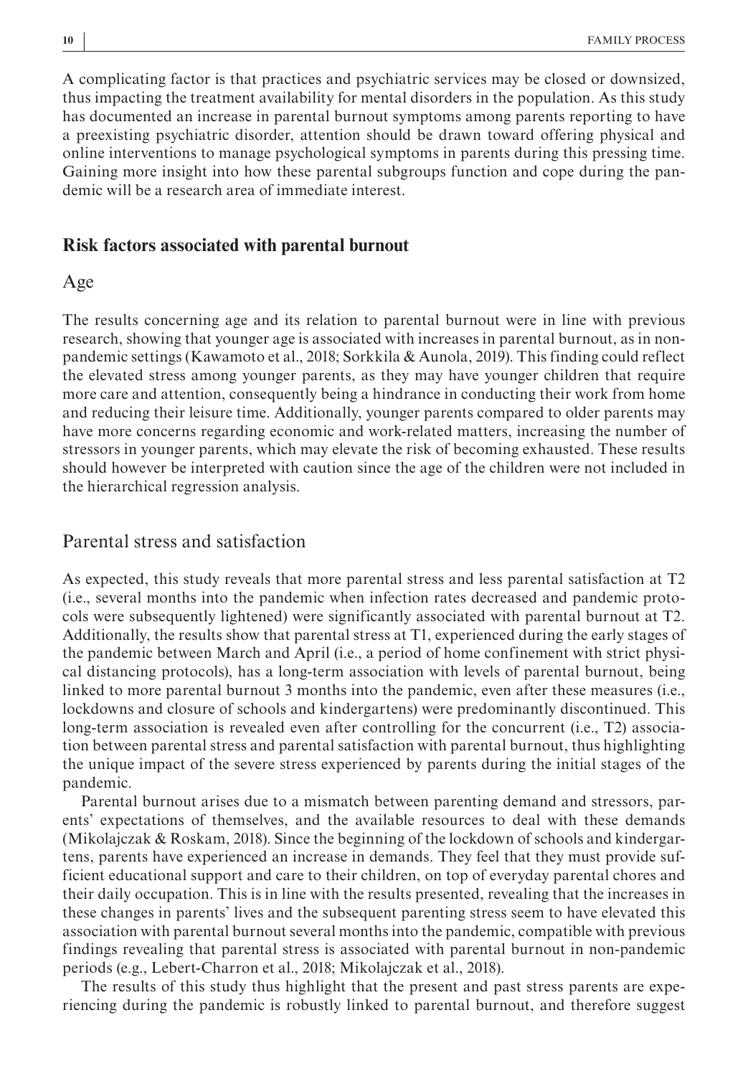A complicating factor is that practices and psychiatric services may be closed or downsized, thus impacting the treatment availability for mental disorders in the population. As this study has documented an increase in parental burnout symptoms among parents reporting to have a preexisting psychiatric disorder, attention should be drawn toward offering physical and online interventions to manage psychological symptoms in parents during this pressing time. Gaining more insight into how these parental subgroups function and cope during the pandemic will be a research area of immediate interest.

#### **Risk factors associated with parental burnout**

#### Age

The results concerning age and its relation to parental burnout were in line with previous research, showing that younger age is associated with increases in parental burnout, as in nonpandemic settings (Kawamoto et al., 2018; Sorkkila & Aunola, 2019). This finding could reflect the elevated stress among younger parents, as they may have younger children that require more care and attention, consequently being a hindrance in conducting their work from home and reducing their leisure time. Additionally, younger parents compared to older parents may have more concerns regarding economic and work-related matters, increasing the number of stressors in younger parents, which may elevate the risk of becoming exhausted. These results should however be interpreted with caution since the age of the children were not included in the hierarchical regression analysis.

# Parental stress and satisfaction

As expected, this study reveals that more parental stress and less parental satisfaction at T2 (i.e., several months into the pandemic when infection rates decreased and pandemic protocols were subsequently lightened) were significantly associated with parental burnout at T2. Additionally, the results show that parental stress at T1, experienced during the early stages of the pandemic between March and April (i.e., a period of home confinement with strict physical distancing protocols), has a long-term association with levels of parental burnout, being linked to more parental burnout 3 months into the pandemic, even after these measures (i.e., lockdowns and closure of schools and kindergartens) were predominantly discontinued. This long-term association is revealed even after controlling for the concurrent (i.e., T2) association between parental stress and parental satisfaction with parental burnout, thus highlighting the unique impact of the severe stress experienced by parents during the initial stages of the pandemic.

Parental burnout arises due to a mismatch between parenting demand and stressors, parents' expectations of themselves, and the available resources to deal with these demands (Mikolajczak & Roskam, 2018). Since the beginning of the lockdown of schools and kindergartens, parents have experienced an increase in demands. They feel that they must provide sufficient educational support and care to their children, on top of everyday parental chores and their daily occupation. This is in line with the results presented, revealing that the increases in these changes in parents' lives and the subsequent parenting stress seem to have elevated this association with parental burnout several months into the pandemic, compatible with previous findings revealing that parental stress is associated with parental burnout in non-pandemic periods (e.g., Lebert-Charron et al., 2018; Mikolajczak et al., 2018).

The results of this study thus highlight that the present and past stress parents are experiencing during the pandemic is robustly linked to parental burnout, and therefore suggest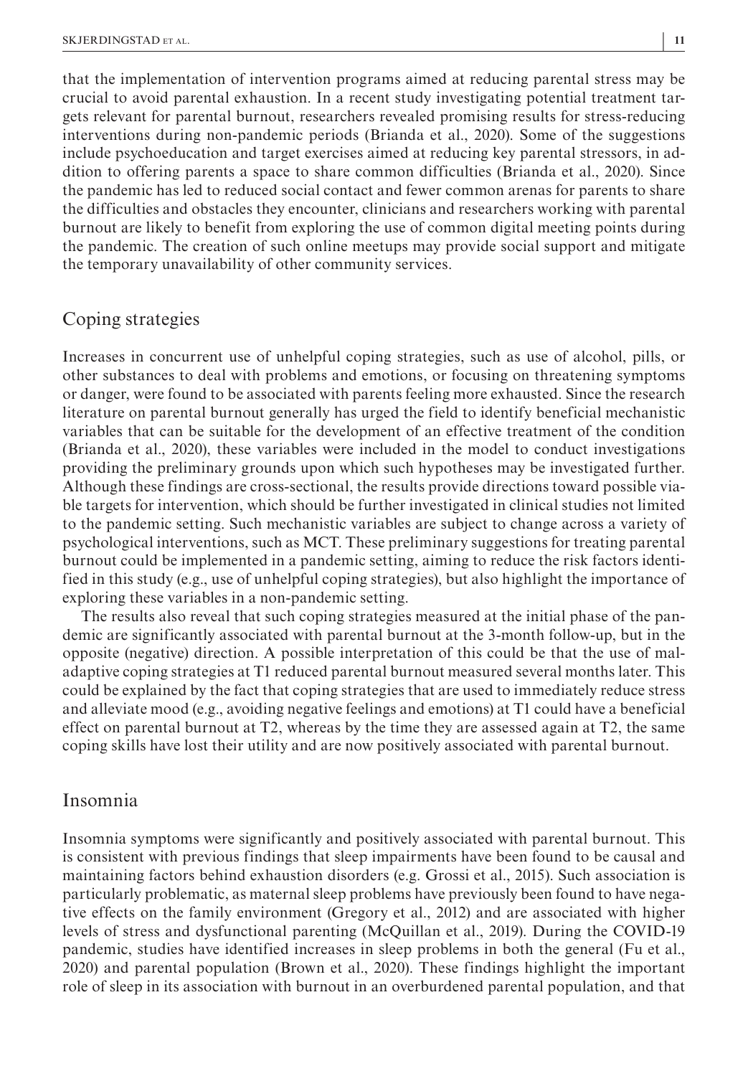that the implementation of intervention programs aimed at reducing parental stress may be crucial to avoid parental exhaustion. In a recent study investigating potential treatment targets relevant for parental burnout, researchers revealed promising results for stress-reducing interventions during non-pandemic periods (Brianda et al., 2020). Some of the suggestions include psychoeducation and target exercises aimed at reducing key parental stressors, in addition to offering parents a space to share common difficulties (Brianda et al., 2020). Since the pandemic has led to reduced social contact and fewer common arenas for parents to share the difficulties and obstacles they encounter, clinicians and researchers working with parental burnout are likely to benefit from exploring the use of common digital meeting points during the pandemic. The creation of such online meetups may provide social support and mitigate the temporary unavailability of other community services.

## Coping strategies

Increases in concurrent use of unhelpful coping strategies, such as use of alcohol, pills, or other substances to deal with problems and emotions, or focusing on threatening symptoms or danger, were found to be associated with parents feeling more exhausted. Since the research literature on parental burnout generally has urged the field to identify beneficial mechanistic variables that can be suitable for the development of an effective treatment of the condition (Brianda et al., 2020), these variables were included in the model to conduct investigations providing the preliminary grounds upon which such hypotheses may be investigated further. Although these findings are cross-sectional, the results provide directions toward possible viable targets for intervention, which should be further investigated in clinical studies not limited to the pandemic setting. Such mechanistic variables are subject to change across a variety of psychological interventions, such as MCT. These preliminary suggestions for treating parental burnout could be implemented in a pandemic setting, aiming to reduce the risk factors identified in this study (e.g., use of unhelpful coping strategies), but also highlight the importance of exploring these variables in a non-pandemic setting.

The results also reveal that such coping strategies measured at the initial phase of the pandemic are significantly associated with parental burnout at the 3-month follow-up, but in the opposite (negative) direction. A possible interpretation of this could be that the use of maladaptive coping strategies at T1 reduced parental burnout measured several months later. This could be explained by the fact that coping strategies that are used to immediately reduce stress and alleviate mood (e.g., avoiding negative feelings and emotions) at T1 could have a beneficial effect on parental burnout at T2, whereas by the time they are assessed again at T2, the same coping skills have lost their utility and are now positively associated with parental burnout.

#### Insomnia

Insomnia symptoms were significantly and positively associated with parental burnout. This is consistent with previous findings that sleep impairments have been found to be causal and maintaining factors behind exhaustion disorders (e.g. Grossi et al., 2015). Such association is particularly problematic, as maternal sleep problems have previously been found to have negative effects on the family environment (Gregory et al., 2012) and are associated with higher levels of stress and dysfunctional parenting (McQuillan et al., 2019). During the COVID-19 pandemic, studies have identified increases in sleep problems in both the general (Fu et al., 2020) and parental population (Brown et al., 2020). These findings highlight the important role of sleep in its association with burnout in an overburdened parental population, and that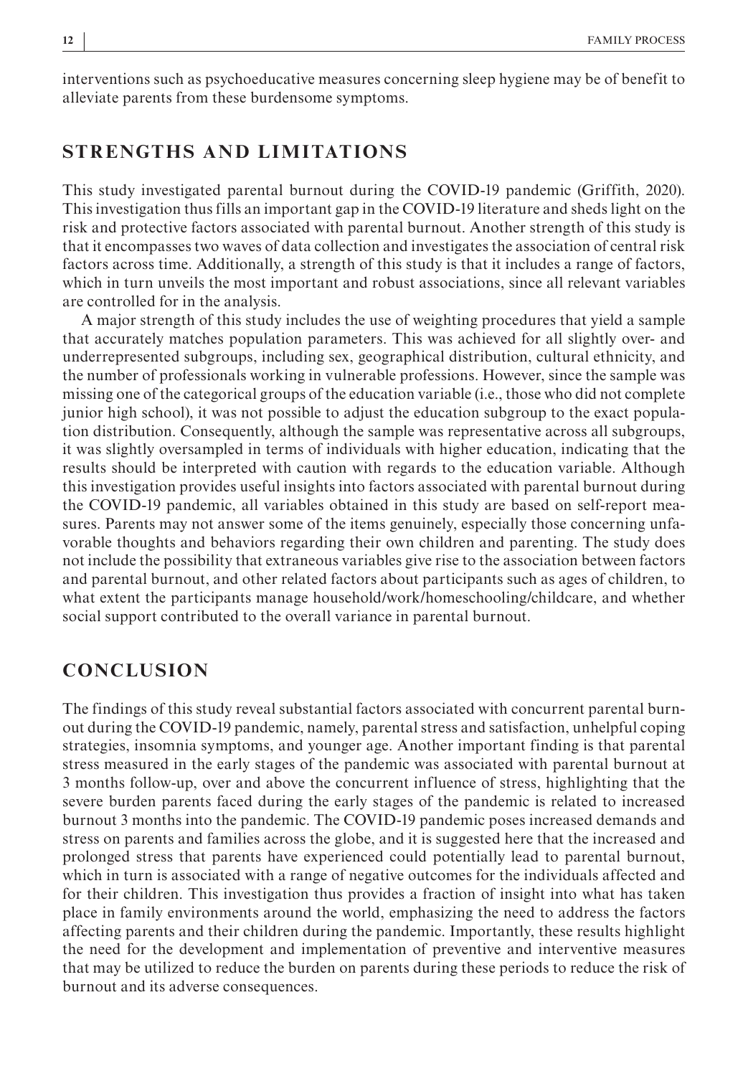interventions such as psychoeducative measures concerning sleep hygiene may be of benefit to alleviate parents from these burdensome symptoms.

# **STRENGTHS AND LIMITATIONS**

This study investigated parental burnout during the COVID-19 pandemic (Griffith, 2020). This investigation thus fills an important gap in the COVID-19 literature and sheds light on the risk and protective factors associated with parental burnout. Another strength of this study is that it encompasses two waves of data collection and investigates the association of central risk factors across time. Additionally, a strength of this study is that it includes a range of factors, which in turn unveils the most important and robust associations, since all relevant variables are controlled for in the analysis.

A major strength of this study includes the use of weighting procedures that yield a sample that accurately matches population parameters. This was achieved for all slightly over- and underrepresented subgroups, including sex, geographical distribution, cultural ethnicity, and the number of professionals working in vulnerable professions. However, since the sample was missing one of the categorical groups of the education variable (i.e., those who did not complete junior high school), it was not possible to adjust the education subgroup to the exact population distribution. Consequently, although the sample was representative across all subgroups, it was slightly oversampled in terms of individuals with higher education, indicating that the results should be interpreted with caution with regards to the education variable. Although this investigation provides useful insights into factors associated with parental burnout during the COVID-19 pandemic, all variables obtained in this study are based on self-report measures. Parents may not answer some of the items genuinely, especially those concerning unfavorable thoughts and behaviors regarding their own children and parenting. The study does not include the possibility that extraneous variables give rise to the association between factors and parental burnout, and other related factors about participants such as ages of children, to what extent the participants manage household/work/homeschooling/childcare, and whether social support contributed to the overall variance in parental burnout.

# **CONCLUSION**

The findings of this study reveal substantial factors associated with concurrent parental burnout during the COVID-19 pandemic, namely, parental stress and satisfaction, unhelpful coping strategies, insomnia symptoms, and younger age. Another important finding is that parental stress measured in the early stages of the pandemic was associated with parental burnout at 3 months follow-up, over and above the concurrent influence of stress, highlighting that the severe burden parents faced during the early stages of the pandemic is related to increased burnout 3 months into the pandemic. The COVID-19 pandemic poses increased demands and stress on parents and families across the globe, and it is suggested here that the increased and prolonged stress that parents have experienced could potentially lead to parental burnout, which in turn is associated with a range of negative outcomes for the individuals affected and for their children. This investigation thus provides a fraction of insight into what has taken place in family environments around the world, emphasizing the need to address the factors affecting parents and their children during the pandemic. Importantly, these results highlight the need for the development and implementation of preventive and interventive measures that may be utilized to reduce the burden on parents during these periods to reduce the risk of burnout and its adverse consequences.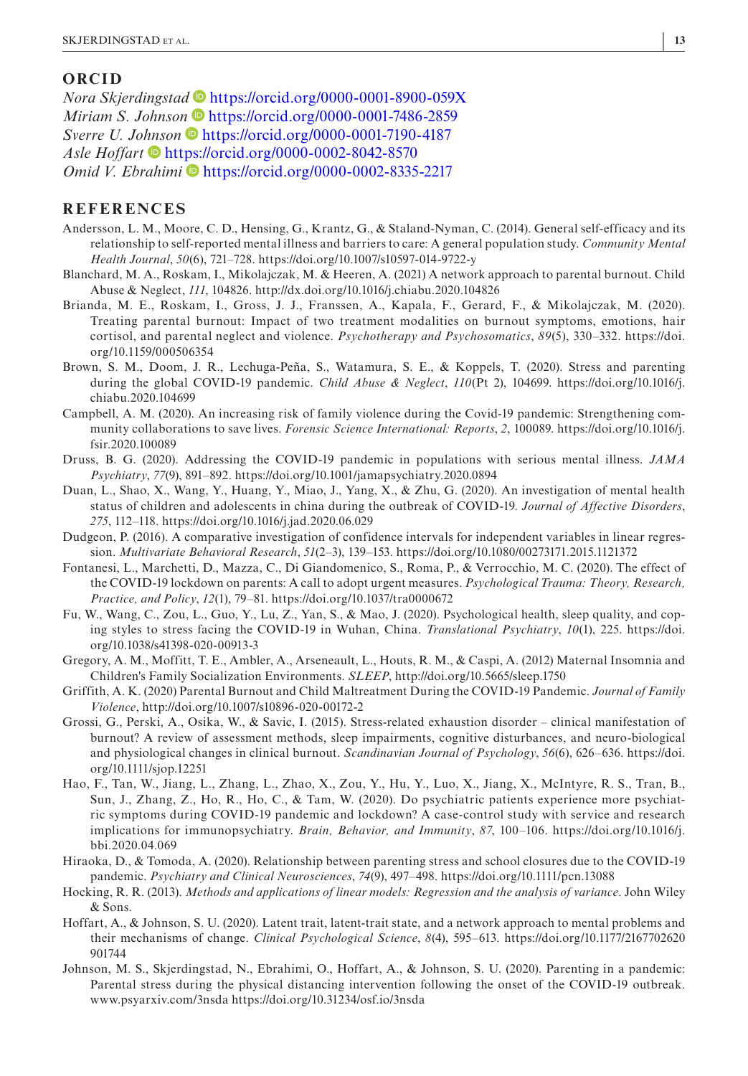#### **ORCID**

*Nora Skjer[d](https://orcid.org/0000-0001-7486-2859)ingstad* **D** <https://orcid.org/0000-0001-8900-059X> *Miriam S. Joh[n](https://orcid.org/0000-0001-7190-4187)son* • <https://orcid.org/0000-0001-7486-2859> *Sverre U. Jo[hns](https://orcid.org/0000-0002-8042-8570)on* <https://orcid.org/0000-0001-7190-4187> *Asle Hoffart* **<https://orcid.org/0000-0002-8042-8570>** *Omid V. Ebrahimi* <sup>●</sup> <https://orcid.org/0000-0002-8335-2217>

#### **REFERENCES**

- Andersson, L. M., Moore, C. D., Hensing, G., Krantz, G., & Staland-Nyman, C. (2014). General self-efficacy and its relationship to self-reported mental illness and barriers to care: A general population study. *Community Mental Health Journal*, *50*(6), 721–728. <https://doi.org/10.1007/s10597-014-9722-y>
- Blanchard, M. A., Roskam, I., Mikolajczak, M. & Heeren, A. (2021) A network approach to parental burnout. Child Abuse & Neglect, *111*, 104826.<http://dx.doi.org/10.1016/j.chiabu.2020.104826>
- Brianda, M. E., Roskam, I., Gross, J. J., Franssen, A., Kapala, F., Gerard, F., & Mikolajczak, M. (2020). Treating parental burnout: Impact of two treatment modalities on burnout symptoms, emotions, hair cortisol, and parental neglect and violence. *Psychotherapy and Psychosomatics*, *89*(5), 330–332. [https://doi.](https://doi.org/10.1159/000506354) [org/10.1159/000506354](https://doi.org/10.1159/000506354)
- Brown, S. M., Doom, J. R., Lechuga-Peña, S., Watamura, S. E., & Koppels, T. (2020). Stress and parenting during the global COVID-19 pandemic. *Child Abuse & Neglect*, *110*(Pt 2), 104699. [https://doi.org/10.1016/j.](https://doi.org/10.1016/j.chiabu.2020.104699) [chiabu.2020.104699](https://doi.org/10.1016/j.chiabu.2020.104699)
- Campbell, A. M. (2020). An increasing risk of family violence during the Covid-19 pandemic: Strengthening community collaborations to save lives. *Forensic Science International: Reports*, *2*, 100089. [https://doi.org/10.1016/j.](https://doi.org/10.1016/j.fsir.2020.100089) [fsir.2020.100089](https://doi.org/10.1016/j.fsir.2020.100089)
- Druss, B. G. (2020). Addressing the COVID-19 pandemic in populations with serious mental illness. *JAMA Psychiatry*, *77*(9), 891–892.<https://doi.org/10.1001/jamapsychiatry.2020.0894>
- Duan, L., Shao, X., Wang, Y., Huang, Y., Miao, J., Yang, X., & Zhu, G. (2020). An investigation of mental health status of children and adolescents in china during the outbreak of COVID-19. *Journal of Affective Disorders*, *275*, 112–118.<https://doi.org/10.1016/j.jad.2020.06.029>
- Dudgeon, P. (2016). A comparative investigation of confidence intervals for independent variables in linear regression. *Multivariate Behavioral Research*, *51*(2–3), 139–153. <https://doi.org/10.1080/00273171.2015.1121372>
- Fontanesi, L., Marchetti, D., Mazza, C., Di Giandomenico, S., Roma, P., & Verrocchio, M. C. (2020). The effect of the COVID-19 lockdown on parents: A call to adopt urgent measures. *Psychological Trauma: Theory, Research, Practice, and Policy*, *12*(1), 79–81.<https://doi.org/10.1037/tra0000672>
- Fu, W., Wang, C., Zou, L., Guo, Y., Lu, Z., Yan, S., & Mao, J. (2020). Psychological health, sleep quality, and coping styles to stress facing the COVID-19 in Wuhan, China. *Translational Psychiatry*, *10*(1), 225. [https://doi.](https://doi.org/10.1038/s41398-020-00913-3) [org/10.1038/s41398-020-00913-3](https://doi.org/10.1038/s41398-020-00913-3)
- Gregory, A. M., Moffitt, T. E., Ambler, A., Arseneault, L., Houts, R. M., & Caspi, A. (2012) Maternal Insomnia and Children's Family Socialization Environments. *SLEEP*,<http://doi.org/10.5665/sleep.1750>
- Griffith, A. K. (2020) Parental Burnout and Child Maltreatment During the COVID-19 Pandemic. *Journal of Family Violence*,<http://doi.org/10.1007/s10896-020-00172-2>
- Grossi, G., Perski, A., Osika, W., & Savic, I. (2015). Stress-related exhaustion disorder clinical manifestation of burnout? A review of assessment methods, sleep impairments, cognitive disturbances, and neuro-biological and physiological changes in clinical burnout. *Scandinavian Journal of Psychology*, *56*(6), 626–636. [https://doi.](https://doi.org/10.1111/sjop.12251) [org/10.1111/sjop.12251](https://doi.org/10.1111/sjop.12251)
- Hao, F., Tan, W., Jiang, L., Zhang, L., Zhao, X., Zou, Y., Hu, Y., Luo, X., Jiang, X., McIntyre, R. S., Tran, B., Sun, J., Zhang, Z., Ho, R., Ho, C., & Tam, W. (2020). Do psychiatric patients experience more psychiatric symptoms during COVID-19 pandemic and lockdown? A case-control study with service and research implications for immunopsychiatry. *Brain, Behavior, and Immunity*, *87*, 100–106. [https://doi.org/10.1016/j.](https://doi.org/10.1016/j.bbi.2020.04.069) [bbi.2020.04.069](https://doi.org/10.1016/j.bbi.2020.04.069)
- Hiraoka, D., & Tomoda, A. (2020). Relationship between parenting stress and school closures due to the COVID-19 pandemic. *Psychiatry and Clinical Neurosciences*, *74*(9), 497–498. <https://doi.org/10.1111/pcn.13088>
- Hocking, R. R. (2013). *Methods and applications of linear models: Regression and the analysis of variance*. John Wiley & Sons.
- Hoffart, A., & Johnson, S. U. (2020). Latent trait, latent-trait state, and a network approach to mental problems and their mechanisms of change. *Clinical Psychological Science*, *8*(4), 595–613. [https://doi.org/10.1177/2167702620](https://doi.org/10.1177/2167702620901744) [901744](https://doi.org/10.1177/2167702620901744)
- Johnson, M. S., Skjerdingstad, N., Ebrahimi, O., Hoffart, A., & Johnson, S. U. (2020). Parenting in a pandemic: Parental stress during the physical distancing intervention following the onset of the COVID-19 outbreak. [www.psyarxiv.com/3nsda](http://www.psyarxiv.com/3nsda)<https://doi.org/10.31234/osf.io/3nsda>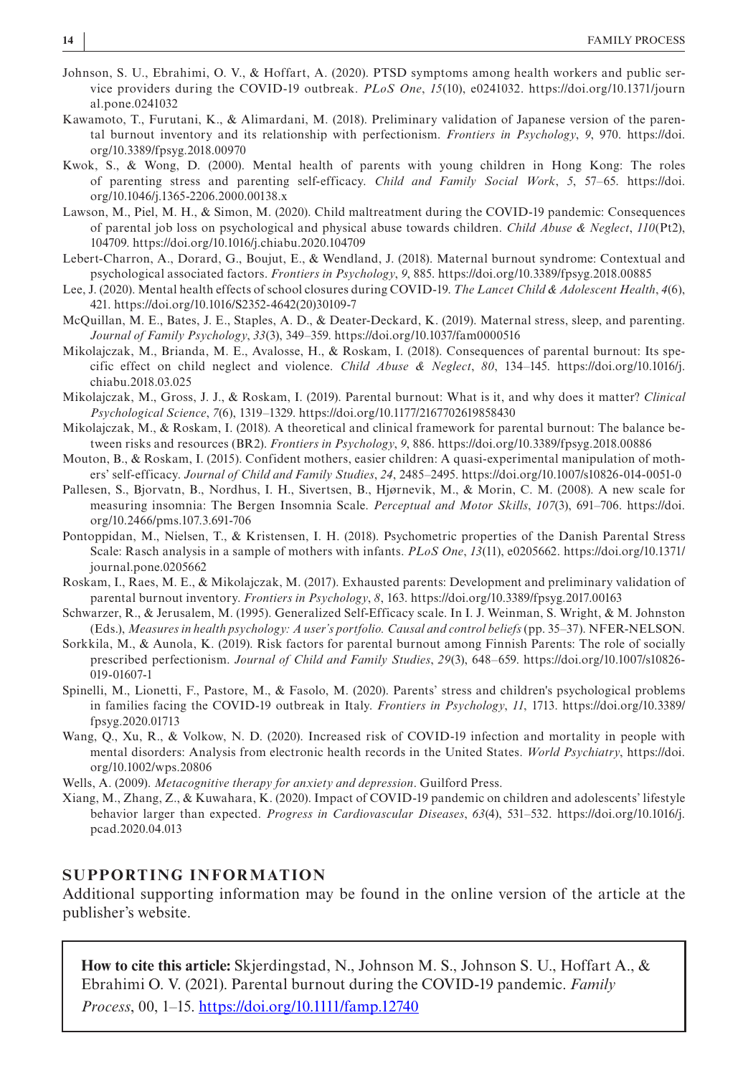- Johnson, S. U., Ebrahimi, O. V., & Hoffart, A. (2020). PTSD symptoms among health workers and public service providers during the COVID-19 outbreak. *PLoS One*, *15*(10), e0241032. [https://doi.org/10.1371/journ](https://doi.org/10.1371/journal.pone.0241032) [al.pone.0241032](https://doi.org/10.1371/journal.pone.0241032)
- Kawamoto, T., Furutani, K., & Alimardani, M. (2018). Preliminary validation of Japanese version of the parental burnout inventory and its relationship with perfectionism. *Frontiers in Psychology*, *9*, 970. [https://doi.](https://doi.org/10.3389/fpsyg.2018.00970) [org/10.3389/fpsyg.2018.00970](https://doi.org/10.3389/fpsyg.2018.00970)
- Kwok, S., & Wong, D. (2000). Mental health of parents with young children in Hong Kong: The roles of parenting stress and parenting self-efficacy. *Child and Family Social Work*, *5*, 57–65. [https://doi.](https://doi.org/10.1046/j.1365-2206.2000.00138.x) [org/10.1046/j.1365-2206.2000.00138.x](https://doi.org/10.1046/j.1365-2206.2000.00138.x)
- Lawson, M., Piel, M. H., & Simon, M. (2020). Child maltreatment during the COVID-19 pandemic: Consequences of parental job loss on psychological and physical abuse towards children. *Child Abuse & Neglect*, *110*(Pt2), 104709.<https://doi.org/10.1016/j.chiabu.2020.104709>
- Lebert-Charron, A., Dorard, G., Boujut, E., & Wendland, J. (2018). Maternal burnout syndrome: Contextual and psychological associated factors. *Frontiers in Psychology*, *9*, 885.<https://doi.org/10.3389/fpsyg.2018.00885>
- Lee, J. (2020). Mental health effects of school closures during COVID-19. *The Lancet Child & Adolescent Health*, *4*(6), 421. [https://doi.org/10.1016/S2352-4642\(20\)30109-7](https://doi.org/10.1016/S2352-4642(20)30109-7)
- McQuillan, M. E., Bates, J. E., Staples, A. D., & Deater-Deckard, K. (2019). Maternal stress, sleep, and parenting. *Journal of Family Psychology*, *33*(3), 349–359. <https://doi.org/10.1037/fam0000516>
- Mikolajczak, M., Brianda, M. E., Avalosse, H., & Roskam, I. (2018). Consequences of parental burnout: Its specific effect on child neglect and violence. *Child Abuse & Neglect*, *80*, 134–145. [https://doi.org/10.1016/j.](https://doi.org/10.1016/j.chiabu.2018.03.025) [chiabu.2018.03.025](https://doi.org/10.1016/j.chiabu.2018.03.025)
- Mikolajczak, M., Gross, J. J., & Roskam, I. (2019). Parental burnout: What is it, and why does it matter? *Clinical Psychological Science*, *7*(6), 1319–1329. <https://doi.org/10.1177/2167702619858430>
- Mikolajczak, M., & Roskam, I. (2018). A theoretical and clinical framework for parental burnout: The balance between risks and resources (BR2). *Frontiers in Psychology*, *9*, 886. <https://doi.org/10.3389/fpsyg.2018.00886>
- Mouton, B., & Roskam, I. (2015). Confident mothers, easier children: A quasi-experimental manipulation of mothers' self-efficacy. *Journal of Child and Family Studies*, *24*, 2485–2495.<https://doi.org/10.1007/s10826-014-0051-0>
- Pallesen, S., Bjorvatn, B., Nordhus, I. H., Sivertsen, B., Hjørnevik, M., & Morin, C. M. (2008). A new scale for measuring insomnia: The Bergen Insomnia Scale. *Perceptual and Motor Skills*, *107*(3), 691–706. [https://doi.](https://doi.org/10.2466/pms.107.3.691-706) [org/10.2466/pms.107.3.691-706](https://doi.org/10.2466/pms.107.3.691-706)
- Pontoppidan, M., Nielsen, T., & Kristensen, I. H. (2018). Psychometric properties of the Danish Parental Stress Scale: Rasch analysis in a sample of mothers with infants. *PLoS One*, *13*(11), e0205662. [https://doi.org/10.1371/](https://doi.org/10.1371/journal.pone.0205662) [journal.pone.0205662](https://doi.org/10.1371/journal.pone.0205662)
- Roskam, I., Raes, M. E., & Mikolajczak, M. (2017). Exhausted parents: Development and preliminary validation of parental burnout inventory. *Frontiers in Psychology*, *8*, 163.<https://doi.org/10.3389/fpsyg.2017.00163>
- Schwarzer, R., & Jerusalem, M. (1995). Generalized Self-Efficacy scale. In I. J. Weinman, S. Wright, & M. Johnston (Eds.), *Measures in health psychology: A user's portfolio. Causal and control beliefs* (pp. 35–37). NFER-NELSON.
- Sorkkila, M., & Aunola, K. (2019). Risk factors for parental burnout among Finnish Parents: The role of socially prescribed perfectionism. *Journal of Child and Family Studies*, *29*(3), 648–659. [https://doi.org/10.1007/s10826-](https://doi.org/10.1007/s10826-019-01607-1) [019-01607-1](https://doi.org/10.1007/s10826-019-01607-1)
- Spinelli, M., Lionetti, F., Pastore, M., & Fasolo, M. (2020). Parents' stress and children's psychological problems in families facing the COVID-19 outbreak in Italy. *Frontiers in Psychology*, *11*, 1713. [https://doi.org/10.3389/](https://doi.org/10.3389/fpsyg.2020.01713) [fpsyg.2020.01713](https://doi.org/10.3389/fpsyg.2020.01713)
- Wang, Q., Xu, R., & Volkow, N. D. (2020). Increased risk of COVID-19 infection and mortality in people with mental disorders: Analysis from electronic health records in the United States. *World Psychiatry*, [https://doi.](https://doi.org/10.1002/wps.20806) [org/10.1002/wps.20806](https://doi.org/10.1002/wps.20806)
- Wells, A. (2009). *Metacognitive therapy for anxiety and depression*. Guilford Press.
- Xiang, M., Zhang, Z., & Kuwahara, K. (2020). Impact of COVID-19 pandemic on children and adolescents' lifestyle behavior larger than expected. *Progress in Cardiovascular Diseases*, *63*(4), 531–532. [https://doi.org/10.1016/j.](https://doi.org/10.1016/j.pcad.2020.04.013) [pcad.2020.04.013](https://doi.org/10.1016/j.pcad.2020.04.013)

#### **SUPPORTING INFORMATION**

Additional supporting information may be found in the online version of the article at the publisher's website.

**How to cite this article:** Skjerdingstad, N., Johnson M. S., Johnson S. U., Hoffart A., & Ebrahimi O. V. (2021). Parental burnout during the COVID-19 pandemic. *Family Process*, 00, 1–15. <https://doi.org/10.1111/famp.12740>